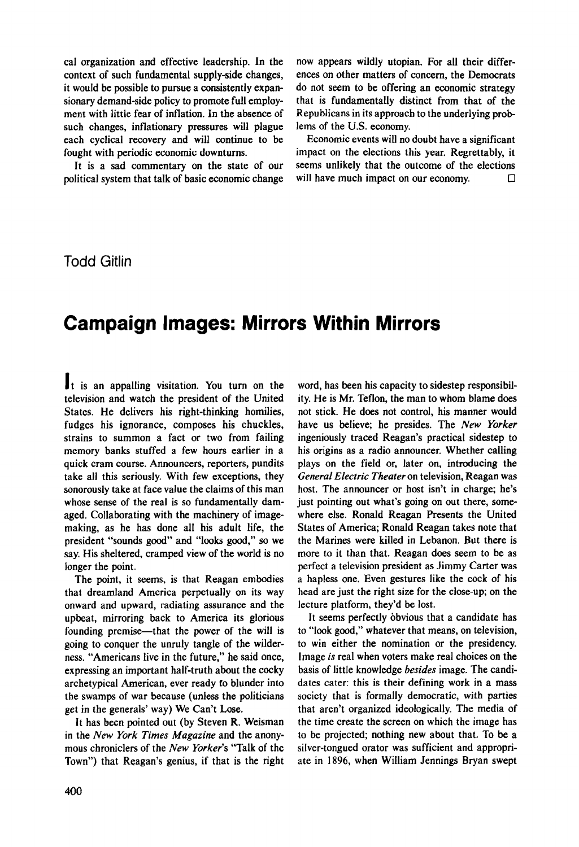cal organization and effective leadership. In the context of such fundamental supply-side changes, it would be possible to pursue a consistently expansionary demand-side policy to promote full employment with little fear of inflation. In the absence of such changes, inflationary pressures will plague each cyclical recovery and will continue to be fought with periodic economic downturns.

It is a sad commentary on the state of our political system that talk of basic economic change now appears wildly utopian. For all their differences on other matters of concern, the Democrats do not seem to be offering an economic strategy that is fundamentally distinct from that of the Republicans in its approach to the underlying problems of the U.S. economy.

Economic events will no doubt have a significant impact on the elections this year. Regrettably, it seems unlikely that the outcome of the elections will have much impact on our economy.  $□$ 

Todd Gitlin

## **Campaign Images: Mirrors Within Mirrors**

It is an appalling visitation. You turn on the television and watch the president of the United States. He delivers his right-thinking homilies, fudges his ignorance, composes his chuckles, strains to summon a fact or two from failing memory banks stuffed a few hours earlier in a quick cram course. Announcers, reporters, pundits take all this seriously. With few exceptions, they sonorously take at face value the claims of this man whose sense of the real is so fundamentally damaged. Collaborating with the machinery of imagemaking, as he has done all his adult life, the president "sounds good" and "looks good," so we say. His sheltered, cramped view of the world is no longer the point.

The point, it seems, is that Reagan embodies that dreamland America perpetually on its way onward and upward, radiating assurance and the upbeat, mirroring back to America its glorious founding premise—that the power of the will is going to conquer the unruly tangle of the wilderness. "Americans live in the future," he said once, expressing an important half-truth about the cocky archetypical American, ever ready to blunder into the swamps of war because (unless the politicians get in the generals' way) We Can't Lose.

It has been pointed out (by Steven R. Weisman in the *New York Times Magazine* and the anonymous chroniclers of the *New Yorker's* "Talk of the Town") that Reagan's genius, if that is the right word, has been his capacity to sidestep responsibility. He is Mr. Teflon, the man to whom blame does not stick. He does not control, his manner would have us believe; he presides. The *New Yorker* ingeniously traced Reagan's practical sidestep to his origins as a radio announcer. Whether calling plays on the field or, later on, introducing the *General Electric Theater* on television, Reagan was host. The announcer or host isn't in charge; he's just pointing out what's going on out there, somewhere else. Ronald Reagan Presents the United States of America; Ronald Reagan takes note that the Marines were killed in Lebanon. But there is more to it than that. Reagan does seem to be as perfect a television president as Jimmy Carter was a hapless one. Even gestures like the cock of his head are just the right size for the close-up; on the lecture platform, they'd be lost.

It seems perfectly obvious that a candidate has to "look good," whatever that means, on television, to win either the nomination or the presidency. Image *is* real when voters make real choices on the basis of little knowledge *besides* image. The candidates cater: this is their defining work in a mass society that is formally democratic, with parties that aren't organized ideologically. The media of the time create the screen on which the image has to be projected; nothing new about that. To be a silver-tongued orator was sufficient and appropriate in 1896, when William Jennings Bryan swept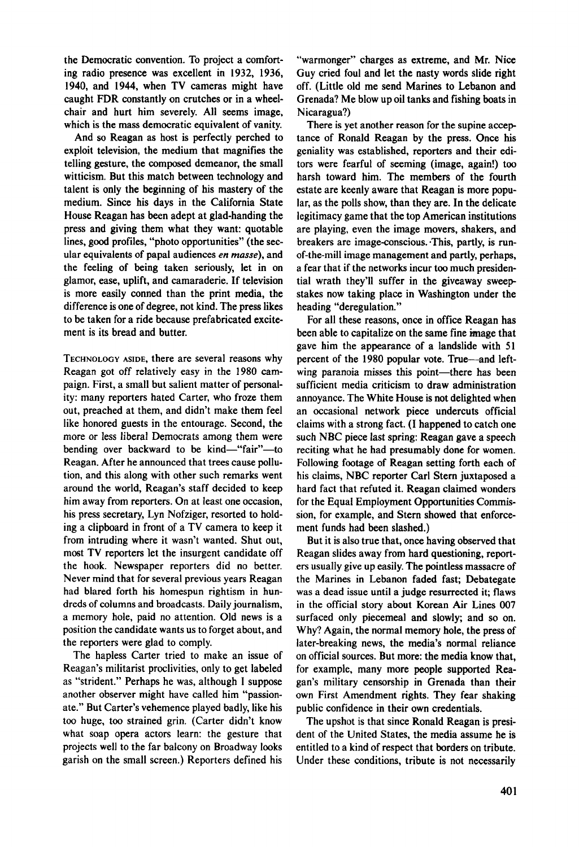the Democratic convention. To project a comforting radio presence was excellent in 1932, 1936, 1940, and 1944, when TV cameras might have caught FDR constantly on crutches or in a wheelchair and hurt him severely. All seems image, which is the mass democratic equivalent of vanity.

And so Reagan as host is perfectly perched to exploit television, the medium that magnifies the telling gesture, the composed demeanor, the small witticism. But this match between technology and talent is only the beginning of his mastery of the medium. Since his days in the California State House Reagan has been adept at glad-handing the press and giving them what they want: quotable lines, good profiles, "photo opportunities" (the secular equivalents of papal audiences en masse), and the feeling of being taken seriously, let in on glamor, ease, uplift, and camaraderie. If television is more easily conned than the print media, the difference is one of degree, not kind. The press likes to be taken for a ride because prefabricated excitement is its bread and butter.

**TECHNOLOGY ASIDE,** there are several reasons why Reagan got off relatively easy in the 1980 campaign. First, a small but salient matter of personality: many reporters hated Carter, who froze them out, preached at them, and didn't make them feel like honored guests in the entourage. Second, the more or less liberal Democrats among them were bending over backward to be kind—"fair"—to Reagan. After he announced that trees cause pollution, and this along with other such remarks went around the world, Reagan's staff decided to keep him away from reporters. On at least one occasion, his press secretary, Lyn Nofziger, resorted to holding a clipboard in front of a TV camera to keep it from intruding where it wasn't wanted. Shut out, most TV reporters let the insurgent candidate off the hook. Newspaper reporters did no better. Never mind that for several previous years Reagan had blared forth his homespun rightism in hundreds of columns and broadcasts. Daily journalism, a memory hole, paid no attention. Old news is a position the candidate wants us to forget about, and the reporters were glad to comply.

The hapless Carter tried to make an issue of Reagan's militarist proclivities, only to get labeled as "strident." Perhaps he was, although I suppose another observer might have called him "passionate." But Carter's vehemence played badly, like his too huge, too strained grin. (Carter didn't know what soap opera actors learn: the gesture that projects well to the far balcony on Broadway looks garish on the small screen.) Reporters defined his

"warmonger" charges as extreme, and Mr. Nice Guy cried foul and let the nasty words slide right off. (Little old me send Marines to Lebanon and Grenada? Me blow up oil tanks and fishing boats in Nicaragua?)

There is yet another reason for the supine acceptance of Ronald Reagan by the press. Once his geniality was established, reporters and their editors were fearful of seeming (image, again!) too harsh toward him. The members of the fourth estate are keenly aware that Reagan is more popular, as the polls show, than they are. In the delicate legitimacy game that the top American institutions are playing, even the image movers, shakers, and breakers are image-conscious. .This, partly, is runof-the-mill image management and partly, perhaps, a fear that if the networks incur too much presidential wrath they'll suffer in the giveaway sweepstakes now taking place in Washington under the heading "deregulation."

For all these reasons, once in office Reagan has been able to capitalize on the same fine image that gave him the appearance of a landslide with 51 percent of the 1980 popular vote. True—and leftwing paranoia misses this point—there has been sufficient media criticism to draw administration annoyance. The White House is not delighted when an occasional network piece undercuts official claims with a strong fact. (I happened to catch one such NBC piece last spring: Reagan gave a speech reciting what he had presumably done for women. Following footage of Reagan setting forth each of his claims, NBC reporter Carl Stern juxtaposed a hard fact that refuted it. Reagan claimed wonders for the Equal Employment Opportunities Commission, for example, and Stern showed that enforcement funds had been slashed.)

But it is also true that, once having observed that Reagan slides away from hard questioning, reporters usually give up easily. The pointless massacre of the Marines in Lebanon faded fast; Debategate was a dead issue until a judge resurrected it; flaws in the official story about Korean Air Lines 007 surfaced only piecemeal and slowly; and so on. Why? Again, the normal memory hole, the press of later-breaking news, the media's normal reliance on official sources. But more: the media know that, for example, many more people supported Reagan's military censorship in Grenada than their own First Amendment rights. They fear shaking public confidence in their own credentials.

The upshot is that since Ronald Reagan is president of the United States, the media assume he is entitled to a kind of respect that borders on tribute. Under these conditions, tribute is not necessarily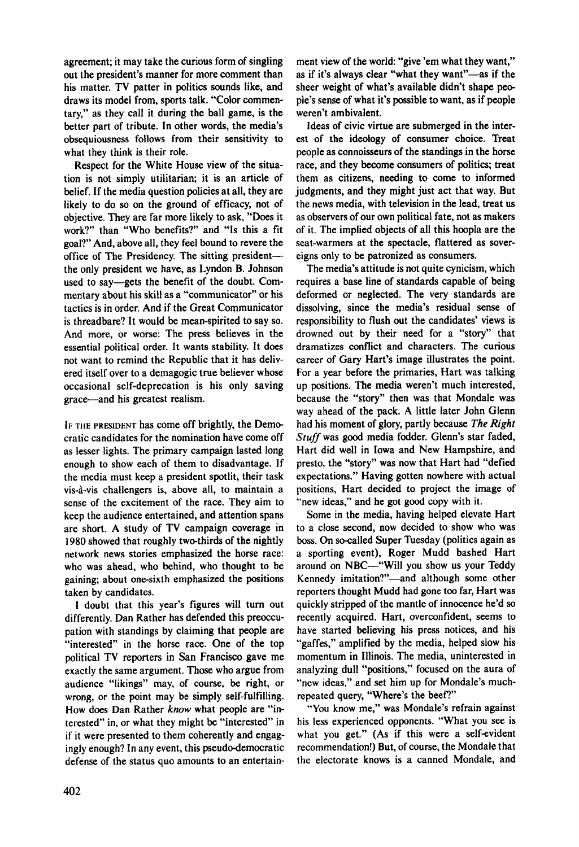agreement; it may take the curious form of singling out the president's manner for more comment than his matter. TV patter in politics sounds like, and draws its model from, sports talk. "Color commentary," as they call it during the ball game, is the better part of tribute. In other words, the media's obsequiousness follows from their sensitivity to what they think is their role.

Respect for the White House view of the situation is not simply utilitarian; it is an article of belief. If the media question policies at all, they are likely to do so on the ground of efficacy, not of objective. They are far more likely to ask, "Does it work?" than "Who benefits?" and "Is this a fit goal?" And, above all, they feel bound to revere the office of The Presidency. The sitting president the only president we have, as Lyndon B. Johnson used to say—gets the benefit of the doubt. Commentary about his skill as a "communicator" or his tactics is in order. And if the Great Communicator is threadbare? It would be mean-spirited to say so. And more, or worse: The press believes in the essential political order. It wants stability. It does not want to remind the Republic that it has delivered itself over to a demagogic true believer whose occasional self-deprecation is his only saving grace—and his greatest realism.

IF THE PRESIDENT has come off brightly, the Democratic candidates for the nomination have come off as lesser lights. The primary campaign lasted long enough to show each of them to disadvantage. If the media must keep a president spotlit, their task vis-a-vis challengers is, above all, to maintain a sense of the excitement of the race. They aim to keep the audience entertained, and attention spans are short. A study of TV campaign coverage in 1980 showed that roughly two-thirds of the nightly network news stories emphasized the horse race: who was ahead, who behind, who thought to be gaining; about one-sixth emphasized the positions taken by candidates.

I doubt that this year's figures will turn out differently. Dan Rather has defended this preoccupation with standings by claiming that people are "interested" in the horse race. One of the top political TV reporters in San Francisco gave me exactly the same argument. Those who argue from audience "likings" may, of course, be right, or wrong, or the point may be simply self-fulfilling. How does Dan Rather *know* what people are "interested" in, or what they might be "interested" in if it were presented to them coherently and engagingly enough? In any event, this pseudo-democratic defense of the status quo amounts to an entertainment view of the world: "give 'em what they want," as if it's always clear "what they want"—as if the sheer weight of what's available didn't shape people's sense of what it's possible to want, as if people weren't ambivalent.

Ideas of civic virtue are submerged in the interest of the ideology of consumer choice. Treat people as connoisseurs of the standings in the horse race, and they become consumers of politics; treat them as citizens, needing to come to informed judgments, and they might just act that way. But the news media, with television in the lead, treat us as observers of our own political fate, not as makers of it. The implied objects of all this hoopla are the seat-warmers at the spectacle, flattered as sovereigns only to be patronized as consumers.

The media's attitude is not quite cynicism, which requires a base line of standards capable of being deformed or neglected. The very standards are dissolving, since the media's residual sense of responsibility to flush out the candidates' views is drowned out by their need for a "story" that dramatizes conflict and characters. The curious career of Gary Hart's image illustrates the point. For a year before the primaries, Hart was talking up positions. The media weren't much interested, because the "story" then was that Mondale was way ahead of the pack. A little later John Glenn had his moment of glory, partly because *The Right Stuff* was good media fodder. Glenn's star faded, Hart did well in Iowa and New Hampshire, and presto, the "story" was now that Hart had "defied expectations." Having gotten nowhere with actual positions, Hart decided to project the image of "new ideas," and he got good copy with it.

Some in the media, having helped elevate Hart to a close second, now decided to show who was boss. On so-called Super Tuesday (politics again as a sporting event), Roger Mudd bashed Hart around on NBC—"Will you show us your Teddy Kennedy imitation?"—and although some other reporters thought Mudd had gone too far, Hart was quickly stripped of the mantle of innocence he'd so recently acquired. Hart, overconfident, seems to have started believing his press notices, and his "gaffes," amplified by the media, helped slow his momentum in Illinois. The media, uninterested in analyzing dull "positions," focused on the aura of "new ideas," and set him up for Mondale's muchrepeated query, "Where's the beef?"

"You know me," was Mondale's refrain against his less experienced opponents. "What you see is what you get." (As if this were a self-evident recommendation!) But, of course, the Mondale that the electorate knows is a canned Mondale, and